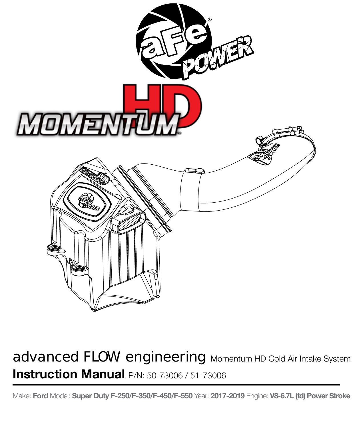

## advanced FLOW engineering Momentum HD Cold Air Intake System **Instruction Manual P/N: 50-73006 / 51-73006**

Make: **Ford** Model: **Super Duty F-250/F-350/F-450/F-550** Year: **2017-2019** Engine: **V8-6.7L (td) Power Stroke**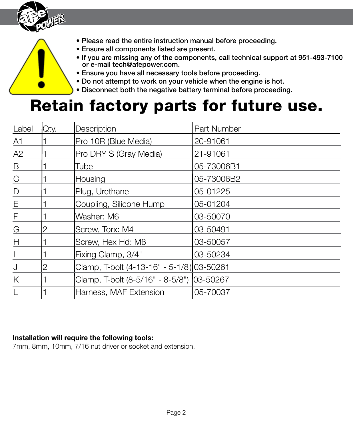

- Please read the entire instruction manual before proceeding.
- Ensure all components listed are present.
- If you are missing any of the components, call technical support at 951-493-7100 or e-mail tech@afepower.com.
- Ensure you have all necessary tools before proceeding.
- Do not attempt to work on your vehicle when the engine is hot.
- Disconnect both the negative battery terminal before proceeding.

# Retain factory parts for future use.

| Label          | Qty. | Description                                | Part Number |
|----------------|------|--------------------------------------------|-------------|
| A1             |      | Pro 10R (Blue Media)                       | 20-91061    |
| A2             |      | Pro DRY S (Gray Media)                     | 21-91061    |
| $\overline{B}$ |      | Tube                                       | 05-73006B1  |
| $\overline{C}$ |      | Housing                                    | 05-73006B2  |
| $\overline{D}$ |      | Plug, Urethane                             | 05-01225    |
| E              |      | Coupling, Silicone Hump                    | 05-01204    |
| F              |      | Washer: M6                                 | 03-50070    |
| G              |      | Screw, Torx: M4                            | 03-50491    |
| H              |      | Screw, Hex Hd: M6                          | 03-50057    |
| $\mathbf{I}$   |      | Fixing Clamp, 3/4"                         | 03-50234    |
| J              |      | Clamp, T-bolt (4-13-16" - 5-1/8) 03-50261  |             |
| K              |      | Clamp, T-bolt (8-5/16" - 8-5/8") (03-50267 |             |
|                |      | Harness, MAF Extension                     | 05-70037    |

#### **Installation will require the following tools:**

7mm, 8mm, 10mm, 7/16 nut driver or socket and extension.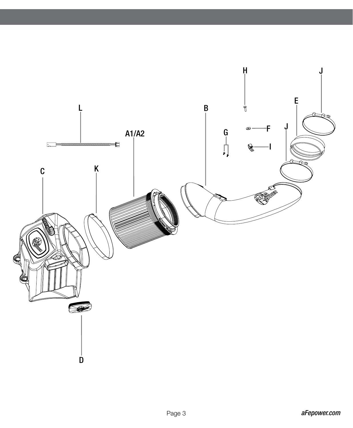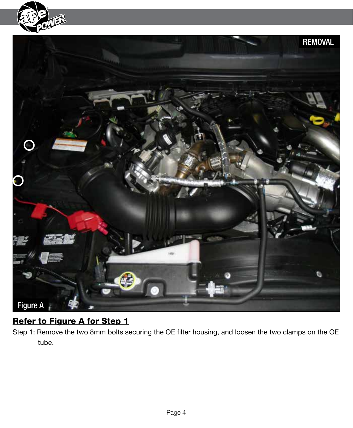



## Refer to Figure A for Step 1

Step 1: Remove the two 8mm bolts securing the OE filter housing, and loosen the two clamps on the OE tube.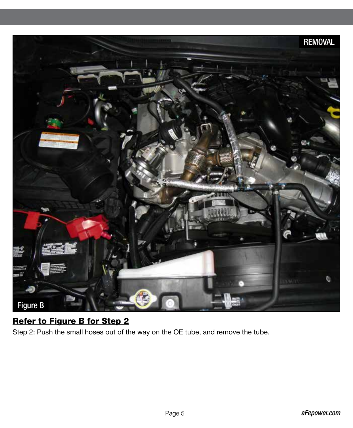

#### Refer to Figure B for Step 2

Step 2: Push the small hoses out of the way on the OE tube, and remove the tube.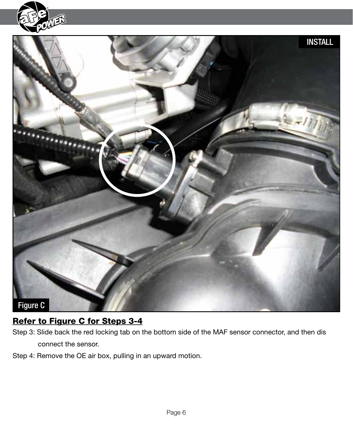



## Refer to Figure C for Steps 3-4

- Step 3: Slide back the red locking tab on the bottom side of the MAF sensor connector, and then dis connect the sensor.
- Step 4: Remove the OE air box, pulling in an upward motion.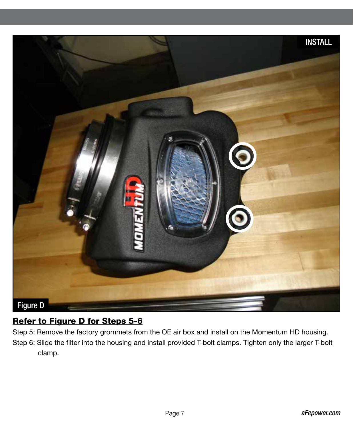

## Refer to Figure D for Steps 5-6

Step 5: Remove the factory grommets from the OE air box and install on the Momentum HD housing. Step 6: Slide the filter into the housing and install provided T-bolt clamps. Tighten only the larger T-bolt clamp.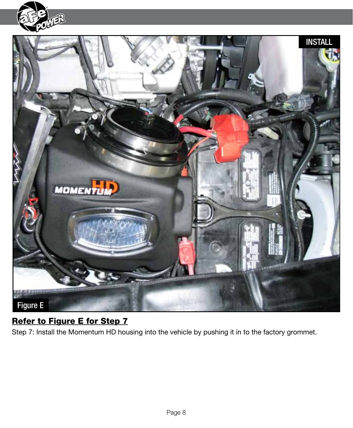



## Refer to Figure E for Step 7

Step 7: Install the Momentum HD housing into the vehicle by pushing it in to the factory grommet.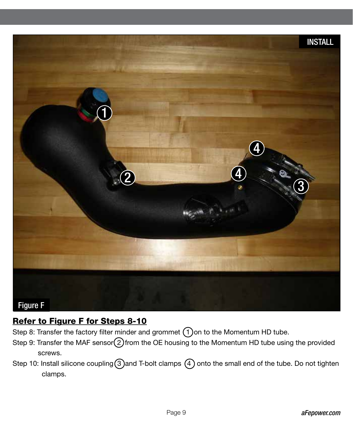

## Refer to Figure F for Steps 8-10

Step 8: Transfer the factory filter minder and grommet  $(1)$  on to the Momentum HD tube.

- Step 9: Transfer the MAF sensor $(2)$  from the OE housing to the Momentum HD tube using the provided screws.
- Step 10: Install silicone coupling  $(3)$  and T-bolt clamps  $(4)$  onto the small end of the tube. Do not tighten clamps.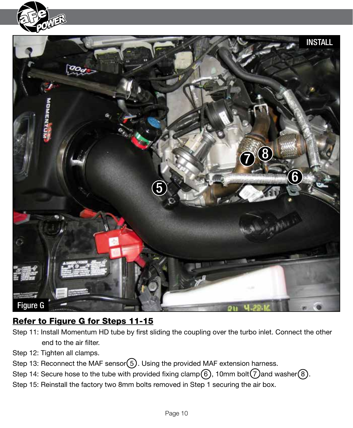



## Refer to Figure G for Steps 11-15

- Step 11: Install Momentum HD tube by first sliding the coupling over the turbo inlet. Connect the other end to the air filter.
- Step 12: Tighten all clamps.
- Step 13: Reconnect the MAF sensor  $(5)$ . Using the provided MAF extension harness.
- Step 14: Secure hose to the tube with provided fixing clamp  $(6)$ , 10mm bolt  $(7)$  and washer  $(8)$ .
- Step 15: Reinstall the factory two 8mm bolts removed in Step 1 securing the air box.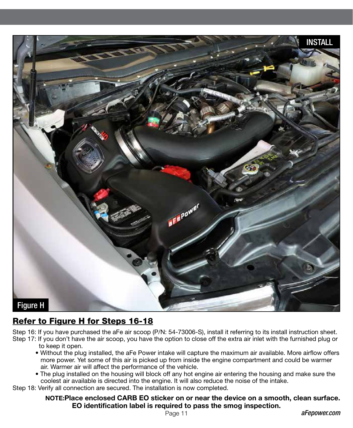

## Refer to Figure H for Steps 16-18

Step 16: If you have purchased the aFe air scoop (P/N: 54-73006-S), install it referring to its install instruction sheet.

- Step 17: If you don't have the air scoop, you have the option to close off the extra air inlet with the furnished plug or to keep it open.
	- Without the plug installed, the aFe Power intake will capture the maximum air available. More airflow offers more power. Yet some of this air is picked up from inside the engine compartment and could be warmer air. Warmer air will affect the performance of the vehicle.
	- The plug installed on the housing will block off any hot engine air entering the housing and make sure the coolest air available is directed into the engine. It will also reduce the noise of the intake.

Step 18: Verify all connection are secured. The installation is now completed.

#### **NOTE:Place enclosed CARB EO sticker on or near the device on a smooth, clean surface. EO identification label is required to pass the smog inspection.**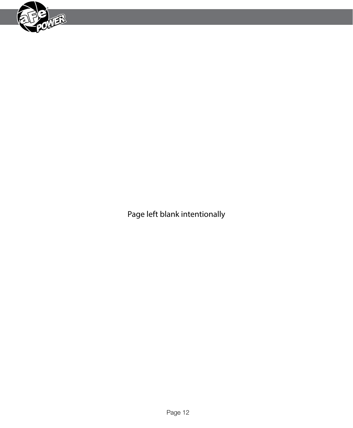

Page left blank intentionally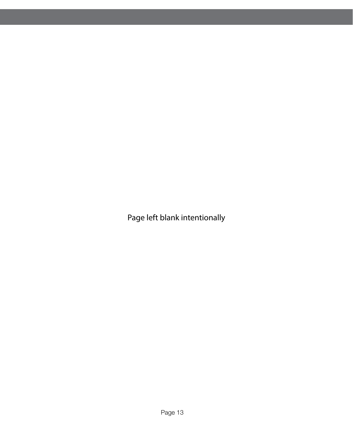Page left blank intentionally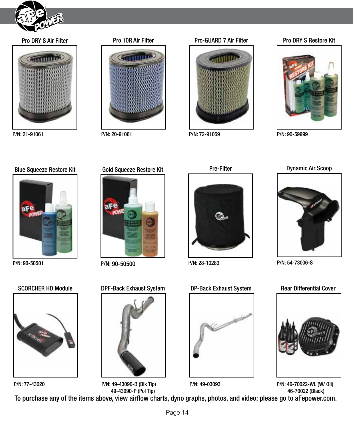

#### Pro DRY S Air Filter





P/N: 21-91061 P/N: 90-59999 P/N: 20-91061

#### Pro-GUARD 7 Air Filter



P/N: 72-91059

#### Pro DRY S Restore Kit







P/N: 90-50501

#### Gold Squeeze Restore Kit



P/N: 90-50500



P/N: 28-10283



Dynamic Air Scoop



P/N: 54-73006-S

Rear Differential Cover



P/N: 46-70022-WL (W/ Oil) 46-70022 (Black)





P/N: 77-43020

DPF-Back Exhaust System



P/N: 49-43090-B (Blk Tip) 49-43090-P (Pol Tip)

DP-Back Exhaust System



P/N: 49-03093

To purchase any of the items above, view airflow charts, dyno graphs, photos, and video; please go to aFepower.com.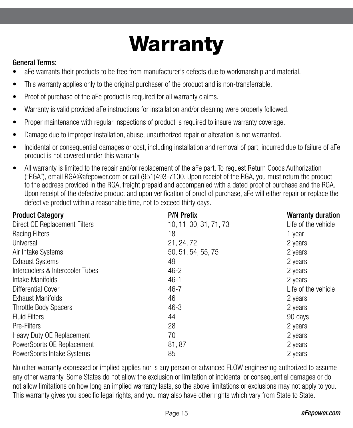# **Warranty**

#### General Terms:

- aFe warrants their products to be free from manufacturer's defects due to workmanship and material.
- This warranty applies only to the original purchaser of the product and is non-transferrable.
- Proof of purchase of the aFe product is required for all warranty claims.
- Warranty is valid provided aFe instructions for installation and/or cleaning were properly followed.
- Proper maintenance with regular inspections of product is required to insure warranty coverage.
- Damage due to improper installation, abuse, unauthorized repair or alteration is not warranted.
- Incidental or consequential damages or cost, including installation and removal of part, incurred due to failure of aFe product is not covered under this warranty.
- All warranty is limited to the repair and/or replacement of the aFe part. To request Return Goods Authorization ("RGA"), email RGA@afepower.com or call (951)493-7100. Upon receipt of the RGA, you must return the product to the address provided in the RGA, freight prepaid and accompanied with a dated proof of purchase and the RGA. Upon receipt of the defective product and upon verification of proof of purchase, aFe will either repair or replace the defective product within a reasonable time, not to exceed thirty days.

| <b>Product Category</b>          | <b>P/N Prefix</b>      | <b>Warranty duration</b> |
|----------------------------------|------------------------|--------------------------|
| Direct OE Replacement Filters    | 10, 11, 30, 31, 71, 73 | Life of the vehicle      |
| <b>Racing Filters</b>            | 18                     | 1 year                   |
| Universal                        | 21, 24, 72             | 2 years                  |
| Air Intake Systems               | 50, 51, 54, 55, 75     | 2 years                  |
| <b>Exhaust Systems</b>           | 49                     | 2 years                  |
| Intercoolers & Intercooler Tubes | $46 - 2$               | 2 years                  |
| Intake Manifolds                 | $46 - 1$               | 2 years                  |
| <b>Differential Cover</b>        | $46 - 7$               | Life of the vehicle      |
| <b>Exhaust Manifolds</b>         | 46                     | 2 years                  |
| <b>Throttle Body Spacers</b>     | $46 - 3$               | 2 years                  |
| <b>Fluid Filters</b>             | 44                     | 90 days                  |
| Pre-Filters                      | 28                     | 2 years                  |
| Heavy Duty OE Replacement        | 70                     | 2 years                  |
| PowerSports OE Replacement       | 81,87                  | 2 years                  |
| PowerSports Intake Systems       | 85                     | 2 years                  |

No other warranty expressed or implied applies nor is any person or advanced FLOW engineering authorized to assume any other warranty. Some States do not allow the exclusion or limitation of incidental or consequential damages or do not allow limitations on how long an implied warranty lasts, so the above limitations or exclusions may not apply to you. This warranty gives you specific legal rights, and you may also have other rights which vary from State to State.